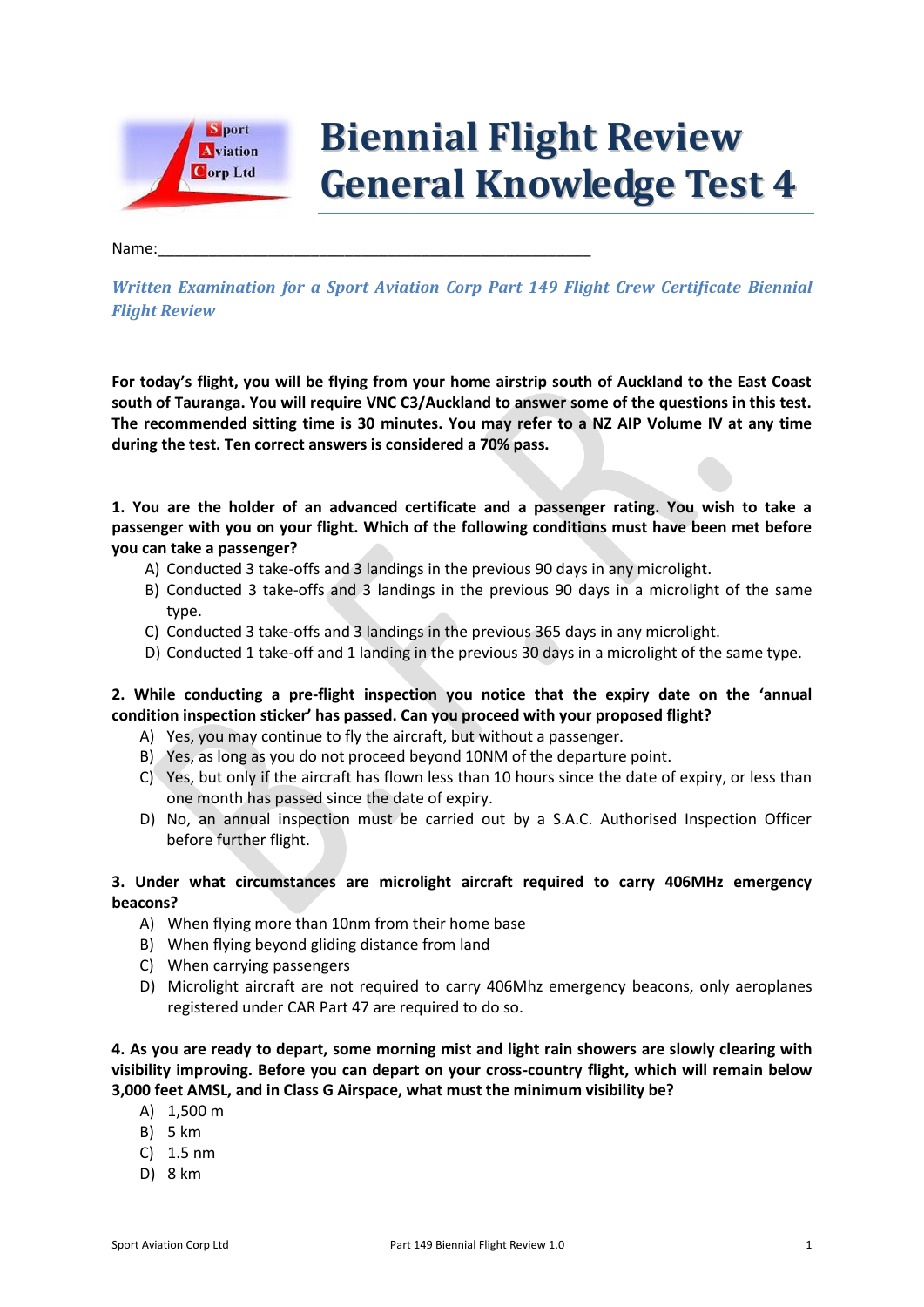

# **Biennial Flight Review General Knowledge Test 4**

### Name:\_\_\_\_\_\_\_\_\_\_\_\_\_\_\_\_\_\_\_\_\_\_\_\_\_\_\_\_\_\_\_\_\_\_\_\_\_\_\_\_\_\_\_\_\_\_\_\_\_\_\_

*Written Examination for a Sport Aviation Corp Part 149 Flight Crew Certificate Biennial Flight Review*

**For today's flight, you will be flying from your home airstrip south of Auckland to the East Coast south of Tauranga. You will require VNC C3/Auckland to answer some of the questions in this test. The recommended sitting time is 30 minutes. You may refer to a NZ AIP Volume IV at any time during the test. Ten correct answers is considered a 70% pass.**

**1. You are the holder of an advanced certificate and a passenger rating. You wish to take a passenger with you on your flight. Which of the following conditions must have been met before you can take a passenger?**

- A) Conducted 3 take-offs and 3 landings in the previous 90 days in any microlight.
- B) Conducted 3 take-offs and 3 landings in the previous 90 days in a microlight of the same type.
- C) Conducted 3 take-offs and 3 landings in the previous 365 days in any microlight.
- D) Conducted 1 take-off and 1 landing in the previous 30 days in a microlight of the same type.

# **2. While conducting a pre-flight inspection you notice that the expiry date on the 'annual condition inspection sticker' has passed. Can you proceed with your proposed flight?**

- A) Yes, you may continue to fly the aircraft, but without a passenger.
- B) Yes, as long as you do not proceed beyond 10NM of the departure point.
- C) Yes, but only if the aircraft has flown less than 10 hours since the date of expiry, or less than one month has passed since the date of expiry.
- D) No, an annual inspection must be carried out by a S.A.C. Authorised Inspection Officer before further flight.

# **3. Under what circumstances are microlight aircraft required to carry 406MHz emergency beacons?**

- A) When flying more than 10nm from their home base
- B) When flying beyond gliding distance from land
- C) When carrying passengers
- D) Microlight aircraft are not required to carry 406Mhz emergency beacons, only aeroplanes registered under CAR Part 47 are required to do so.

**4. As you are ready to depart, some morning mist and light rain showers are slowly clearing with visibility improving. Before you can depart on your cross-country flight, which will remain below 3,000 feet AMSL, and in Class G Airspace, what must the minimum visibility be?**

- A) 1,500 m
- B) 5 km
- C) 1.5 nm
- D) 8 km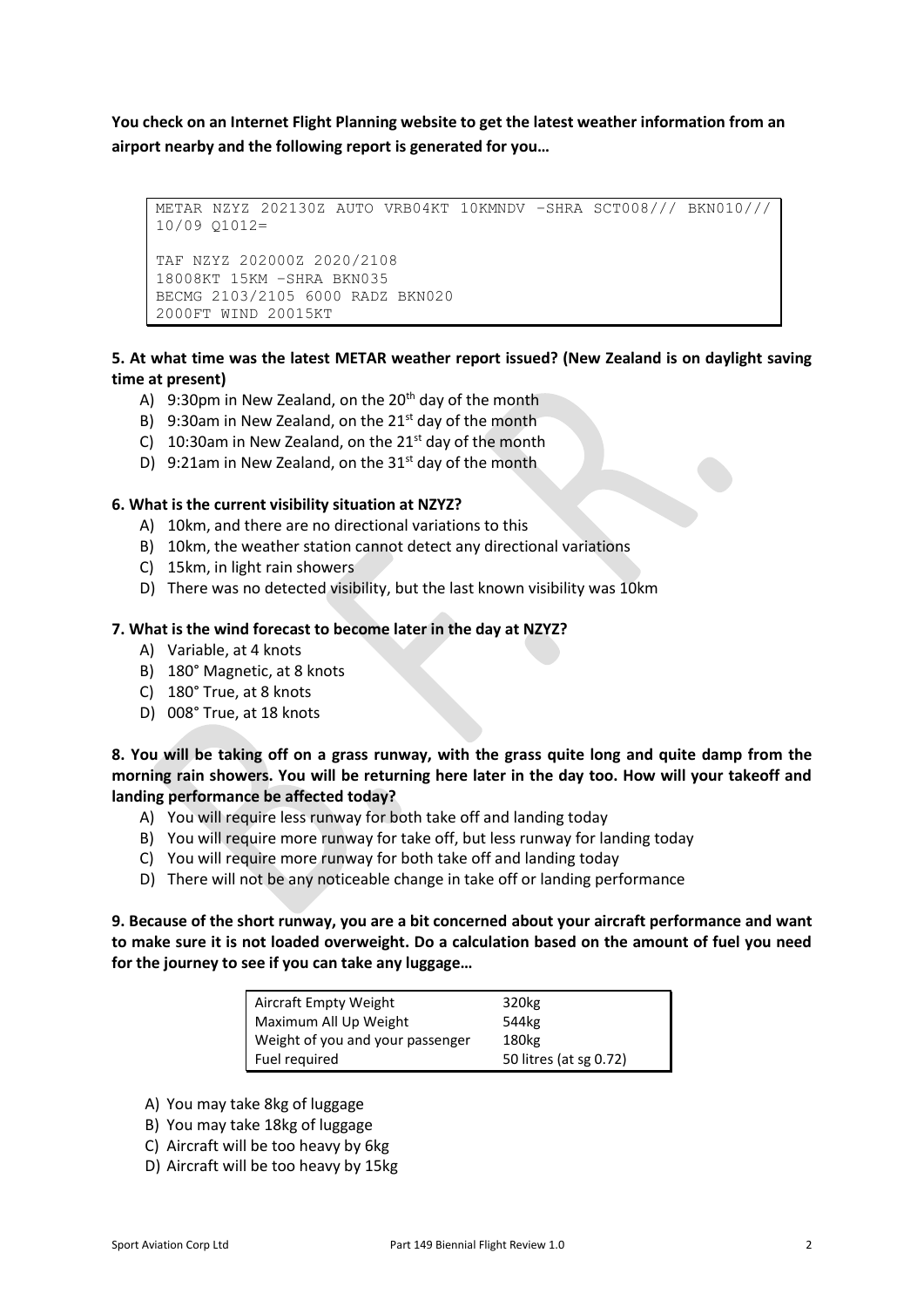**You check on an Internet Flight Planning website to get the latest weather information from an airport nearby and the following report is generated for you…**

```
METAR NZYZ 202130Z AUTO VRB04KT 10KMNDV –SHRA SCT008/// BKN010/// 
10/09 Q1012=
TAF NZYZ 202000Z 2020/2108
18008KT 15KM –SHRA BKN035
BECMG 2103/2105 6000 RADZ BKN020
2000FT WIND 20015KT
```
## **5. At what time was the latest METAR weather report issued? (New Zealand is on daylight saving time at present)**

- A) 9:30pm in New Zealand, on the  $20<sup>th</sup>$  day of the month
- B) 9:30am in New Zealand, on the  $21^{st}$  day of the month
- C) 10:30am in New Zealand, on the  $21<sup>st</sup>$  day of the month
- D) 9:21am in New Zealand, on the  $31<sup>st</sup>$  day of the month

### **6. What is the current visibility situation at NZYZ?**

- A) 10km, and there are no directional variations to this
- B) 10km, the weather station cannot detect any directional variations
- C) 15km, in light rain showers
- D) There was no detected visibility, but the last known visibility was 10km

### **7. What is the wind forecast to become later in the day at NZYZ?**

- A) Variable, at 4 knots
- B) 180° Magnetic, at 8 knots
- C) 180° True, at 8 knots
- D) 008° True, at 18 knots

**8. You will be taking off on a grass runway, with the grass quite long and quite damp from the morning rain showers. You will be returning here later in the day too. How will your takeoff and landing performance be affected today?**

- A) You will require less runway for both take off and landing today
- B) You will require more runway for take off, but less runway for landing today
- C) You will require more runway for both take off and landing today
- D) There will not be any noticeable change in take off or landing performance

## **9. Because of the short runway, you are a bit concerned about your aircraft performance and want to make sure it is not loaded overweight. Do a calculation based on the amount of fuel you need for the journey to see if you can take any luggage…**

| Aircraft Empty Weight            | 320 <sub>kg</sub>      |
|----------------------------------|------------------------|
| Maximum All Up Weight            | 544kg                  |
| Weight of you and your passenger | 180kg                  |
| Fuel required                    | 50 litres (at sg 0.72) |

- A) You may take 8kg of luggage
- B) You may take 18kg of luggage
- C) Aircraft will be too heavy by 6kg
- D) Aircraft will be too heavy by 15kg